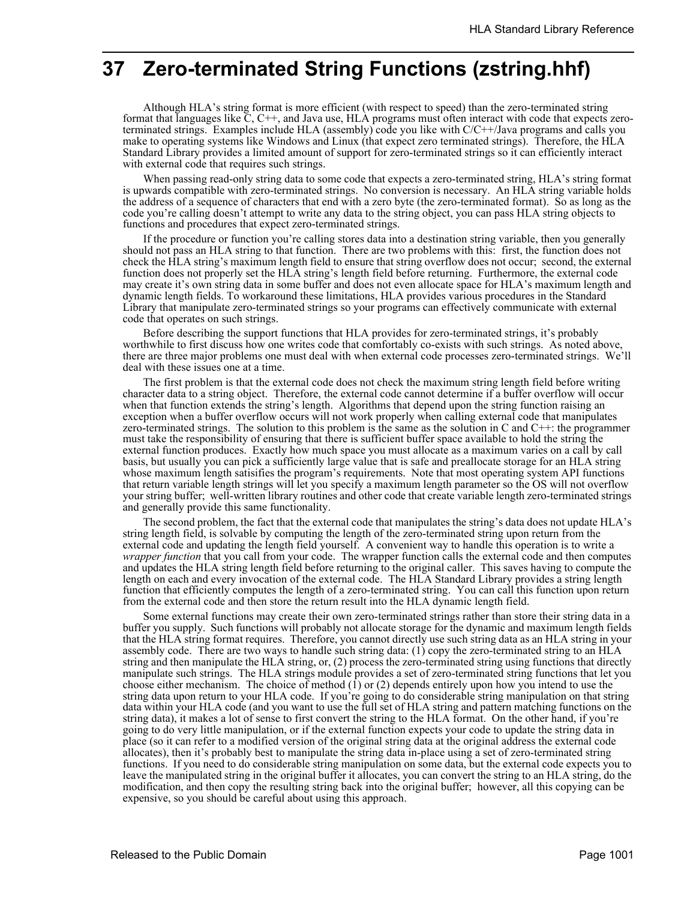# **37 Zero-terminated String Functions (zstring.hhf)**

Although HLA's string format is more efficient (with respect to speed) than the zero-terminated string format that languages like C, C++, and Java use, HLA programs must often interact with code that expects zeroterminated strings. Examples include HLA (assembly) code you like with C/C++/Java programs and calls you make to operating systems like Windows and Linux (that expect zero terminated strings). Therefore, the HLA Standard Library provides a limited amount of support for zero-terminated strings so it can efficiently interact with external code that requires such strings.

When passing read-only string data to some code that expects a zero-terminated string, HLA's string format is upwards compatible with zero-terminated strings. No conversion is necessary. An HLA string variable holds the address of a sequence of characters that end with a zero byte (the zero-terminated format). So as long as the code you're calling doesn't attempt to write any data to the string object, you can pass HLA string objects to functions and procedures that expect zero-terminated strings.

If the procedure or function you're calling stores data into a destination string variable, then you generally should not pass an HLA string to that function. There are two problems with this: first, the function does not check the HLA string's maximum length field to ensure that string overflow does not occur; second, the external function does not properly set the HLA string's length field before returning. Furthermore, the external code may create it's own string data in some buffer and does not even allocate space for HLA's maximum length and dynamic length fields. To workaround these limitations, HLA provides various procedures in the Standard Library that manipulate zero-terminated strings so your programs can effectively communicate with external code that operates on such strings.

Before describing the support functions that HLA provides for zero-terminated strings, it's probably worthwhile to first discuss how one writes code that comfortably co-exists with such strings. As noted above, there are three major problems one must deal with when external code processes zero-terminated strings. We'll deal with these issues one at a time.

The first problem is that the external code does not check the maximum string length field before writing character data to a string object. Therefore, the external code cannot determine if a buffer overflow will occur when that function extends the string's length. Algorithms that depend upon the string function raising an exception when a buffer overflow occurs will not work properly when calling external code that manipulates zero-terminated strings. The solution to this problem is the same as the solution in C and C++: the programmer must take the responsibility of ensuring that there is sufficient buffer space available to hold the string the external function produces. Exactly how much space you must allocate as a maximum varies on a call by call basis, but usually you can pick a sufficiently large value that is safe and preallocate storage for an HLA string whose maximum length satisifies the program's requirements. Note that most operating system API functions that return variable length strings will let you specify a maximum length parameter so the OS will not overflow your string buffer; well-written library routines and other code that create variable length zero-terminated strings and generally provide this same functionality.

The second problem, the fact that the external code that manipulates the string's data does not update HLA's string length field, is solvable by computing the length of the zero-terminated string upon return from the external code and updating the length field yourself. A convenient way to handle this operation is to write a *wrapper function* that you call from your code. The wrapper function calls the external code and then computes and updates the HLA string length field before returning to the original caller. This saves having to compute the length on each and every invocation of the external code. The HLA Standard Library provides a string length function that efficiently computes the length of a zero-terminated string. You can call this function upon return from the external code and then store the return result into the HLA dynamic length field.

Some external functions may create their own zero-terminated strings rather than store their string data in a buffer you supply. Such functions will probably not allocate storage for the dynamic and maximum length fields that the HLA string format requires. Therefore, you cannot directly use such string data as an HLA string in your assembly code. There are two ways to handle such string data: (1) copy the zero-terminated string to an HLA string and then manipulate the HLA string, or, (2) process the zero-terminated string using functions that directly manipulate such strings. The HLA strings module provides a set of zero-terminated string functions that let you choose either mechanism. The choice of method (1) or (2) depends entirely upon how you intend to use the string data upon return to your HLA code. If you're going to do considerable string manipulation on that string data within your HLA code (and you want to use the full set of HLA string and pattern matching functions on the string data), it makes a lot of sense to first convert the string to the HLA format. On the other hand, if you're going to do very little manipulation, or if the external function expects your code to update the string data in place (so it can refer to a modified version of the original string data at the original address the external code allocates), then it's probably best to manipulate the string data in-place using a set of zero-terminated string functions. If you need to do considerable string manipulation on some data, but the external code expects you to leave the manipulated string in the original buffer it allocates, you can convert the string to an HLA string, do the modification, and then copy the resulting string back into the original buffer; however, all this copying can be expensive, so you should be careful about using this approach.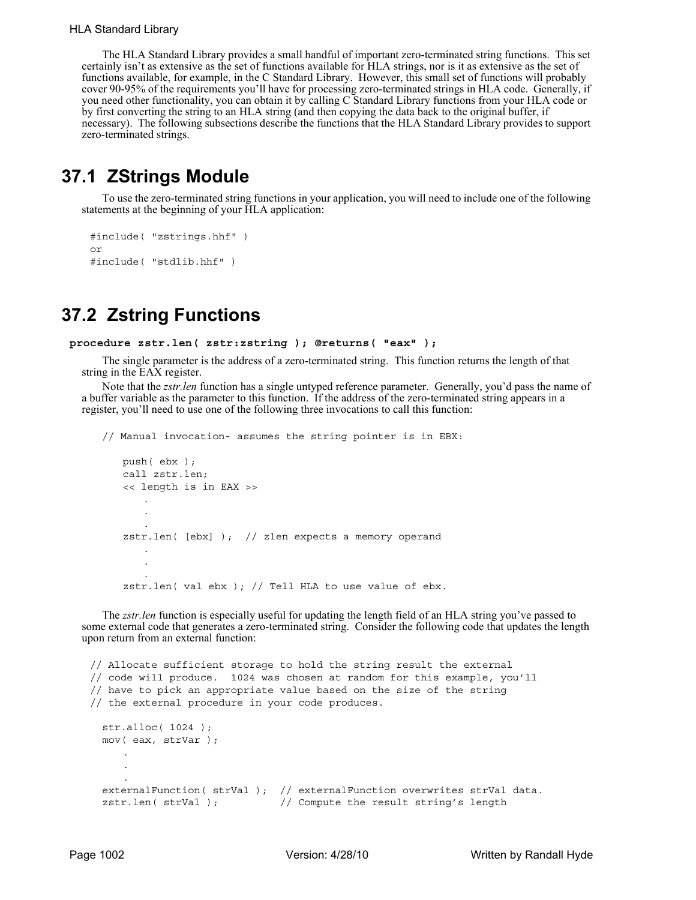The HLA Standard Library provides a small handful of important zero-terminated string functions. This set certainly isn't as extensive as the set of functions available for HLA strings, nor is it as extensive as the set of functions available, for example, in the C Standard Library. However, this small set of functions will probably cover 90-95% of the requirements you'll have for processing zero-terminated strings in HLA code. Generally, if you need other functionality, you can obtain it by calling C Standard Library functions from your HLA code or by first converting the string to an HLA string (and then copying the data back to the original buffer, if necessary). The following subsections describe the functions that the HLA Standard Library provides to support zero-terminated strings.

## **37.1 ZStrings Module**

To use the zero-terminated string functions in your application, you will need to include one of the following statements at the beginning of your HLA application:

```
#include( "zstrings.hhf" )
or
#include( "stdlib.hhf" )
```
## **37.2 Zstring Functions**

```
procedure zstr.len( zstr:zstring ); @returns( "eax" );
```
The single parameter is the address of a zero-terminated string. This function returns the length of that string in the EAX register.

Note that the *zstr.len* function has a single untyped reference parameter. Generally, you'd pass the name of a buffer variable as the parameter to this function. If the address of the zero-terminated string appears in a register, you'll need to use one of the following three invocations to call this function:

```
// Manual invocation- assumes the string pointer is in EBX:
   push( ebx );
   call zstr.len;
   << length is in EAX >>
       .
       .
       .
   zstr.len( [ebx] ); // zlen expects a memory operand
       .
       .
       .
   zstr.len( val ebx ); // Tell HLA to use value of ebx.
```
The *zstr.len* function is especially useful for updating the length field of an HLA string you've passed to some external code that generates a zero-terminated string. Consider the following code that updates the length upon return from an external function:

```
// Allocate sufficient storage to hold the string result the external
// code will produce. 1024 was chosen at random for this example, you'll
// have to pick an appropriate value based on the size of the string
// the external procedure in your code produces.
 str.alloc( 1024 );
 mov( eax, strVar );
     .
     .
     .
  externalFunction( strVal ); // externalFunction overwrites strVal data.
  zstr.len( strVal ); \frac{1}{2} // Compute the result string's length
```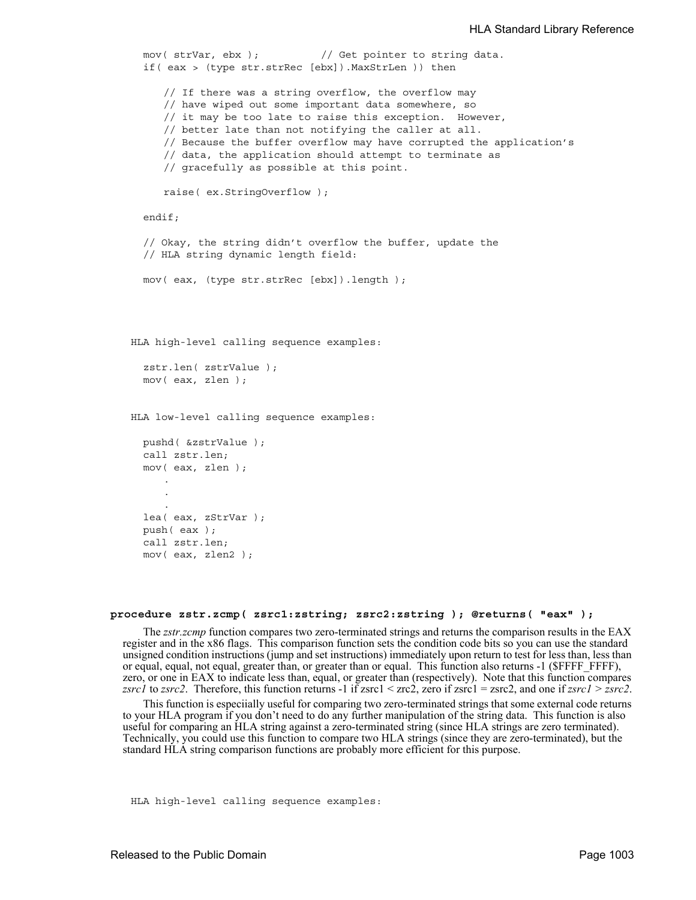```
mov( strVar, ebx ); // Get pointer to string data.
  if( eax > (type str.strRec [ebx]).MaxStrLen )) then
     // If there was a string overflow, the overflow may
     // have wiped out some important data somewhere, so
     // it may be too late to raise this exception. However,
     // better late than not notifying the caller at all.
     // Because the buffer overflow may have corrupted the application's
     // data, the application should attempt to terminate as
     // gracefully as possible at this point.
     raise( ex.StringOverflow );
  endif;
  // Okay, the string didn't overflow the buffer, update the
  // HLA string dynamic length field:
  mov( eax, (type str.strRec [ebx]).length );
HLA high-level calling sequence examples:
  zstr.len( zstrValue );
  mov( eax, zlen );
HLA low-level calling sequence examples:
  pushd( &zstrValue );
  call zstr.len;
  mov( eax, zlen );
     .
     .
     .
  lea( eax, zStrVar );
  push( eax );
  call zstr.len;
  mov( eax, zlen2 );
```
#### **procedure zstr.zcmp( zsrc1:zstring; zsrc2:zstring ); @returns( "eax" );**

The *zstr.zcmp* function compares two zero-terminated strings and returns the comparison results in the EAX register and in the x86 flags. This comparison function sets the condition code bits so you can use the standard unsigned condition instructions (jump and set instructions) immediately upon return to test for less than, less than or equal, equal, not equal, greater than, or greater than or equal. This function also returns -1 (\$FFFF\_FFFF), zero, or one in EAX to indicate less than, equal, or greater than (respectively). Note that this function compares *zsrc1* to *zsrc2*. Therefore, this function returns -1 if zsrc1 < zrc2, zero if zsrc1 = zsrc2, and one if  $zsrc1 \geq zsrc2$ .

This function is especiially useful for comparing two zero-terminated strings that some external code returns to your HLA program if you don't need to do any further manipulation of the string data. This function is also useful for comparing an HLA string against a zero-terminated string (since HLA strings are zero terminated). Technically, you could use this function to compare two HLA strings (since they are zero-terminated), but the standard HLA string comparison functions are probably more efficient for this purpose.

HLA high-level calling sequence examples: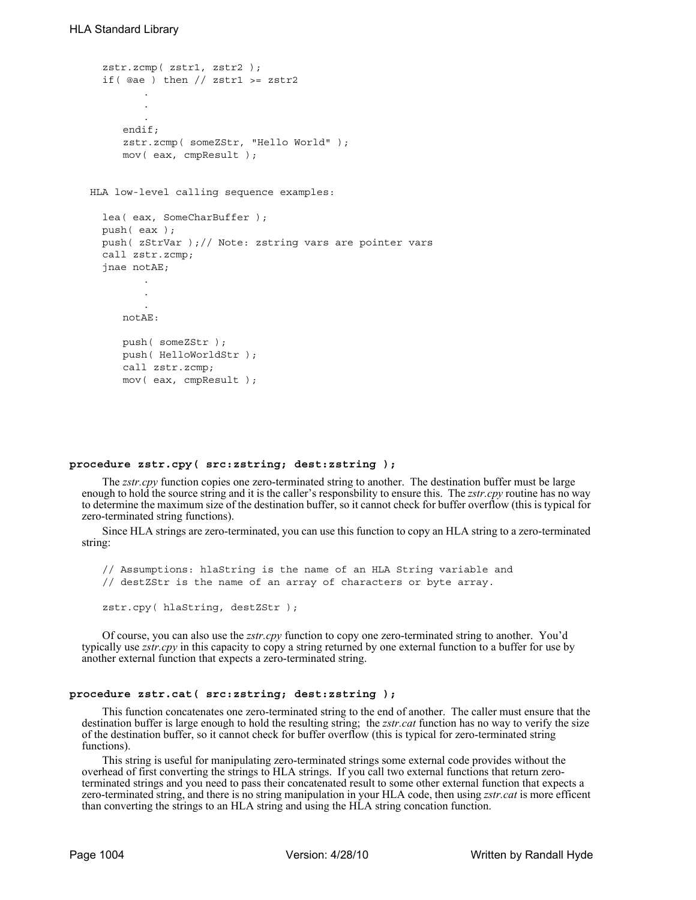```
zstr.zcmp( zstr1, zstr2 );
  if( @ae ) then // zstrl >= zstr2
         .
         .
         .
     endif;
     zstr.zcmp( someZStr, "Hello World" );
     mov( eax, cmpResult );
HLA low-level calling sequence examples:
  lea( eax, SomeCharBuffer );
  push( eax );
  push( zStrVar );// Note: zstring vars are pointer vars
  call zstr.zcmp;
  jnae notAE;
         .
         .
         .
     notAE:
     push( someZStr );
     push( HelloWorldStr );
     call zstr.zcmp;
     mov( eax, cmpResult );
```
### **procedure zstr.cpy( src:zstring; dest:zstring );**

The *zstr.cpy* function copies one zero-terminated string to another. The destination buffer must be large enough to hold the source string and it is the caller's responsbility to ensure this. The *zstr.cpy* routine has no way to determine the maximum size of the destination buffer, so it cannot check for buffer overflow (this is typical for zero-terminated string functions).

Since HLA strings are zero-terminated, you can use this function to copy an HLA string to a zero-terminated string:

// Assumptions: hlaString is the name of an HLA String variable and // destZStr is the name of an array of characters or byte array. zstr.cpy( hlaString, destZStr );

Of course, you can also use the *zstr.cpy* function to copy one zero-terminated string to another. You'd typically use *zstr.cpy* in this capacity to copy a string returned by one external function to a buffer for use by another external function that expects a zero-terminated string.

## **procedure zstr.cat( src:zstring; dest:zstring );**

This function concatenates one zero-terminated string to the end of another. The caller must ensure that the destination buffer is large enough to hold the resulting string; the *zstr.cat* function has no way to verify the size of the destination buffer, so it cannot check for buffer overflow (this is typical for zero-terminated string functions).

This string is useful for manipulating zero-terminated strings some external code provides without the overhead of first converting the strings to HLA strings. If you call two external functions that return zeroterminated strings and you need to pass their concatenated result to some other external function that expects a zero-terminated string, and there is no string manipulation in your HLA code, then using *zstr.cat* is more efficent than converting the strings to an HLA string and using the HLA string concation function.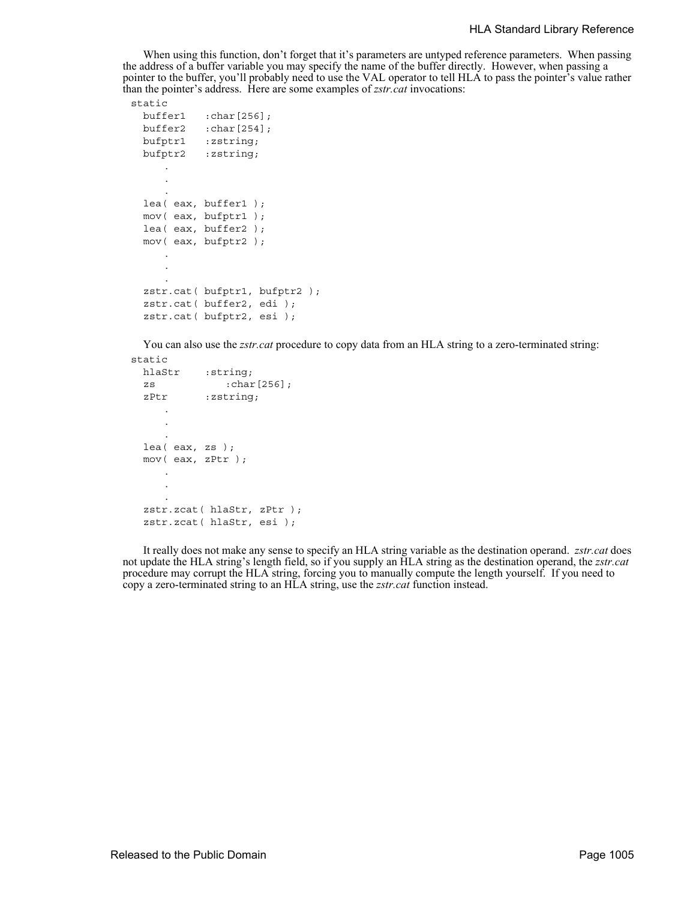When using this function, don't forget that it's parameters are untyped reference parameters. When passing the address of a buffer variable you may specify the name of the buffer directly. However, when passing a pointer to the buffer, you'll probably need to use the VAL operator to tell HLA to pass the pointer's value rather than the pointer's address. Here are some examples of *zstr.cat* invocations:

### static

```
buffer1 :char[256];
buffer2 :char[254];
bufptr1 :zstring;
bufptr2 :zstring;
   .
   .
   .
lea( eax, buffer1 );
mov( eax, bufptr1 );
lea( eax, buffer2 );
mov( eax, bufptr2 );
   .
   .
   .
zstr.cat( bufptr1, bufptr2 );
zstr.cat( buffer2, edi );
zstr.cat( bufptr2, esi );
```
You can also use the *zstr.cat* procedure to copy data from an HLA string to a zero-terminated string: static

```
hlaStr :string;
zs :char[256];
zPtr : zstring;
   .
   .
   .
lea( eax, zs );
mov( eax, zPtr );
   .
   .
   .
zstr.zcat( hlaStr, zPtr );
zstr.zcat( hlaStr, esi );
```
It really does not make any sense to specify an HLA string variable as the destination operand. *zstr.cat* does not update the HLA string's length field, so if you supply an HLA string as the destination operand, the *zstr.cat* procedure may corrupt the HLA string, forcing you to manually compute the length yourself. If you need to copy a zero-terminated string to an HLA string, use the *zstr.cat* function instead.